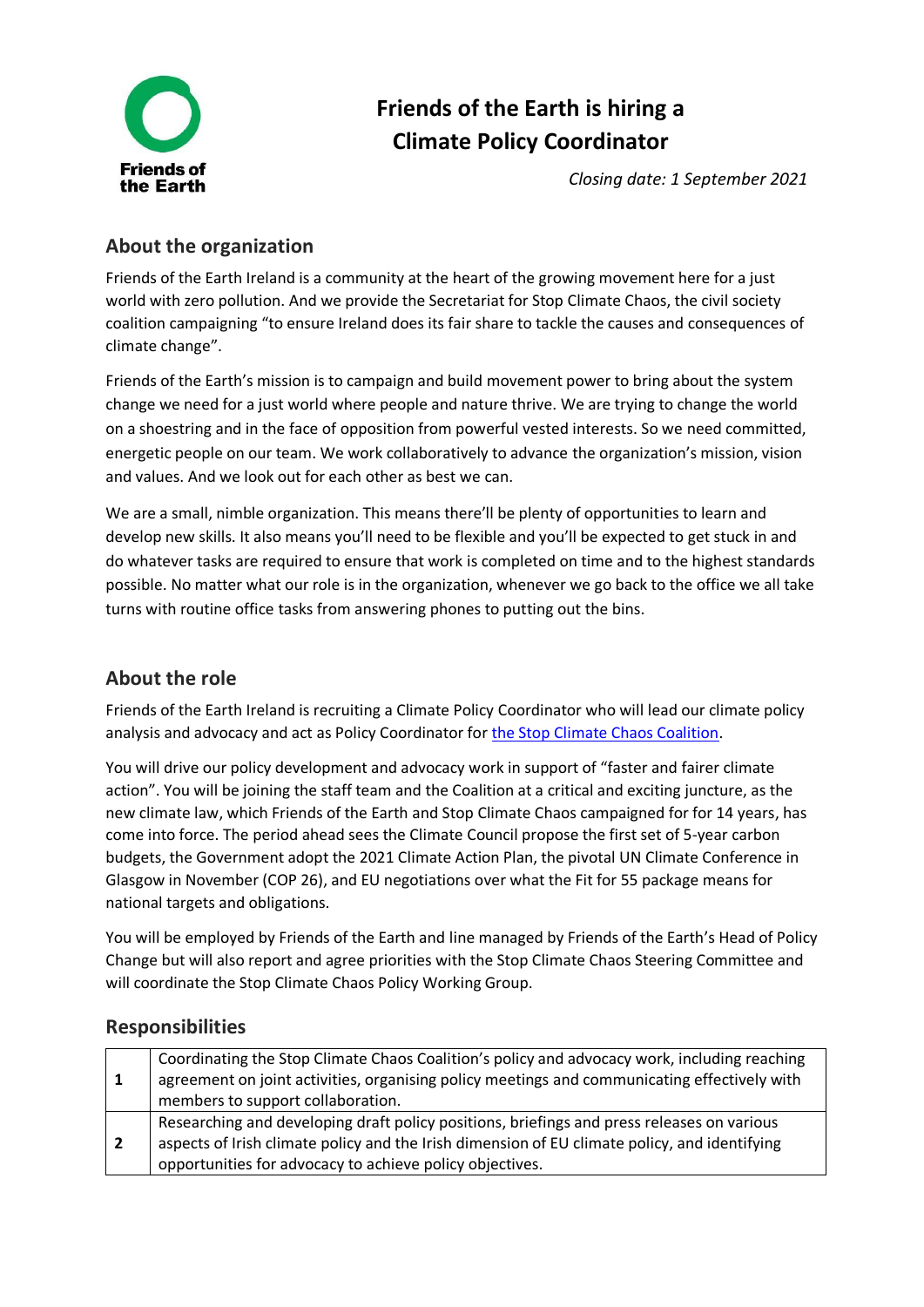

# **Friends of the Earth is hiring a Climate Policy Coordinator**

*Closing date: 1 September 2021*

# **About the organization**

Friends of the Earth Ireland is a community at the heart of the growing movement here for a just world with zero pollution. And we provide the Secretariat for Stop Climate Chaos, the civil society coalition campaigning "to ensure Ireland does its fair share to tackle the causes and consequences of climate change".

Friends of the Earth's mission is to campaign and build movement power to bring about the system change we need for a just world where people and nature thrive. We are trying to change the world on a shoestring and in the face of opposition from powerful vested interests. So we need committed, energetic people on our team. We work collaboratively to advance the organization's mission, vision and values. And we look out for each other as best we can.

We are a small, nimble organization. This means there'll be plenty of opportunities to learn and develop new skills. It also means you'll need to be flexible and you'll be expected to get stuck in and do whatever tasks are required to ensure that work is completed on time and to the highest standards possible. No matter what our role is in the organization, whenever we go back to the office we all take turns with routine office tasks from answering phones to putting out the bins.

# **About the role**

Friends of the Earth Ireland is recruiting a Climate Policy Coordinator who will lead our climate policy analysis and advocacy and act as Policy Coordinator fo[r the Stop Climate Chaos Coalition.](https://www.stopclimatechaos.ie/about/)

You will drive our policy development and advocacy work in support of "faster and fairer climate action". You will be joining the staff team and the Coalition at a critical and exciting juncture, as the new climate law, which Friends of the Earth and Stop Climate Chaos campaigned for for 14 years, has come into force. The period ahead sees the Climate Council propose the first set of 5-year carbon budgets, the Government adopt the 2021 Climate Action Plan, the pivotal UN Climate Conference in Glasgow in November (COP 26), and EU negotiations over what the Fit for 55 package means for national targets and obligations.

You will be employed by Friends of the Earth and line managed by Friends of the Earth's Head of Policy Change but will also report and agree priorities with the Stop Climate Chaos Steering Committee and will coordinate the Stop Climate Chaos Policy Working Group.

# **Responsibilities**

| -1 | Coordinating the Stop Climate Chaos Coalition's policy and advocacy work, including reaching<br>agreement on joint activities, organising policy meetings and communicating effectively with |
|----|----------------------------------------------------------------------------------------------------------------------------------------------------------------------------------------------|
|    | members to support collaboration.                                                                                                                                                            |
|    | Researching and developing draft policy positions, briefings and press releases on various                                                                                                   |
| -2 | aspects of Irish climate policy and the Irish dimension of EU climate policy, and identifying                                                                                                |
|    | opportunities for advocacy to achieve policy objectives.                                                                                                                                     |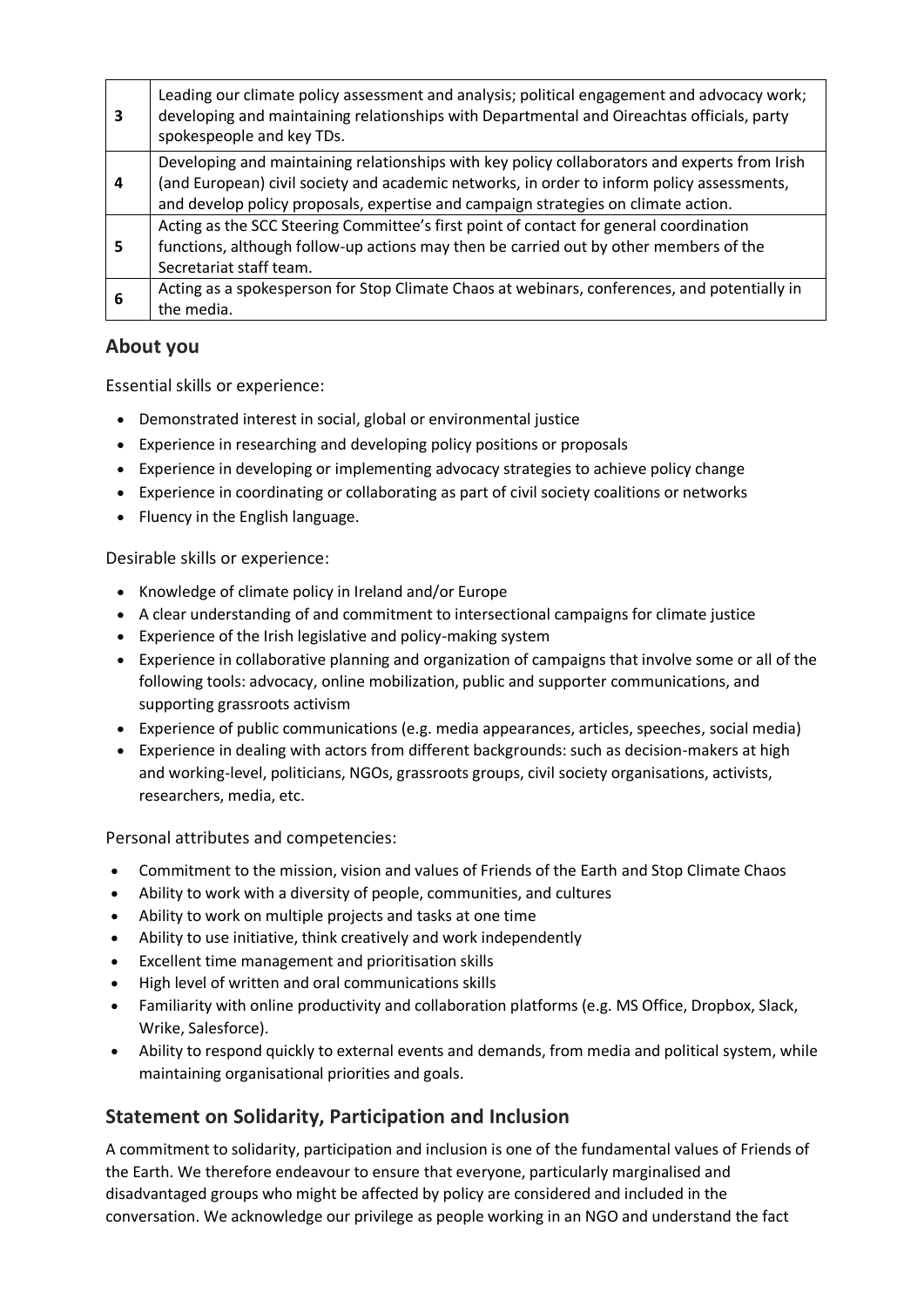| 3              | Leading our climate policy assessment and analysis; political engagement and advocacy work;<br>developing and maintaining relationships with Departmental and Oireachtas officials, party<br>spokespeople and key TDs.                                                            |
|----------------|-----------------------------------------------------------------------------------------------------------------------------------------------------------------------------------------------------------------------------------------------------------------------------------|
| $\overline{a}$ | Developing and maintaining relationships with key policy collaborators and experts from Irish<br>(and European) civil society and academic networks, in order to inform policy assessments,<br>and develop policy proposals, expertise and campaign strategies on climate action. |
| 5              | Acting as the SCC Steering Committee's first point of contact for general coordination<br>functions, although follow-up actions may then be carried out by other members of the<br>Secretariat staff team.                                                                        |
| 6              | Acting as a spokesperson for Stop Climate Chaos at webinars, conferences, and potentially in<br>the media.                                                                                                                                                                        |

# **About you**

Essential skills or experience:

- Demonstrated interest in social, global or environmental justice
- Experience in researching and developing policy positions or proposals
- Experience in developing or implementing advocacy strategies to achieve policy change
- Experience in coordinating or collaborating as part of civil society coalitions or networks
- Fluency in the English language.

Desirable skills or experience:

- Knowledge of climate policy in Ireland and/or Europe
- A clear understanding of and commitment to intersectional campaigns for climate justice
- Experience of the Irish legislative and policy-making system
- Experience in collaborative planning and organization of campaigns that involve some or all of the following tools: advocacy, online mobilization, public and supporter communications, and supporting grassroots activism
- Experience of public communications (e.g. media appearances, articles, speeches, social media)
- Experience in dealing with actors from different backgrounds: such as decision-makers at high and working-level, politicians, NGOs, grassroots groups, civil society organisations, activists, researchers, media, etc.

Personal attributes and competencies:

- Commitment to the mission, vision and values of Friends of the Earth and Stop Climate Chaos
- Ability to work with a diversity of people, communities, and cultures
- Ability to work on multiple projects and tasks at one time
- Ability to use initiative, think creatively and work independently
- Excellent time management and prioritisation skills
- High level of written and oral communications skills
- Familiarity with online productivity and collaboration platforms (e.g. MS Office, Dropbox, Slack, Wrike, Salesforce).
- Ability to respond quickly to external events and demands, from media and political system, while maintaining organisational priorities and goals.

# **Statement on Solidarity, Participation and Inclusion**

A commitment to solidarity, participation and inclusion is one of the fundamental values of Friends of the Earth. We therefore endeavour to ensure that everyone, particularly marginalised and disadvantaged groups who might be affected by policy are considered and included in the conversation. We acknowledge our privilege as people working in an NGO and understand the fact